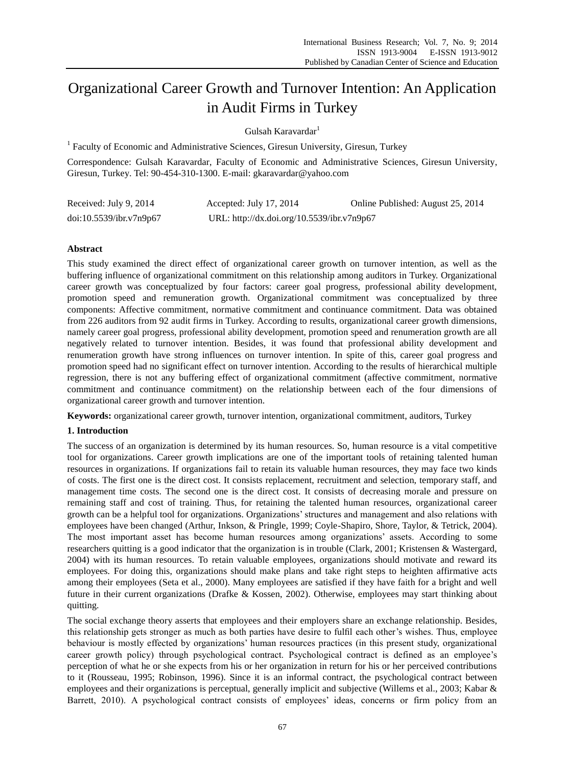# Organizational Career Growth and Turnover Intention: An Application in Audit Firms in Turkey

Gulsah Karavardar<sup>1</sup>

<sup>1</sup> Faculty of Economic and Administrative Sciences, Giresun University, Giresun, Turkey

Correspondence: Gulsah Karavardar, Faculty of Economic and Administrative Sciences, Giresun University, Giresun, Turkey. Tel: 90-454-310-1300. E-mail: gkaravardar@yahoo.com

| Received: July 9, 2014  | Accepted: July 17, 2014                    | Online Published: August 25, 2014 |
|-------------------------|--------------------------------------------|-----------------------------------|
| doi:10.5539/ibr.v7n9p67 | URL: http://dx.doi.org/10.5539/ibr.v7n9p67 |                                   |

# **Abstract**

This study examined the direct effect of organizational career growth on turnover intention, as well as the buffering influence of organizational commitment on this relationship among auditors in Turkey. Organizational career growth was conceptualized by four factors: career goal progress, professional ability development, promotion speed and remuneration growth. Organizational commitment was conceptualized by three components: Affective commitment, normative commitment and continuance commitment. Data was obtained from 226 auditors from 92 audit firms in Turkey. According to results, organizational career growth dimensions, namely career goal progress, professional ability development, promotion speed and renumeration growth are all negatively related to turnover intention. Besides, it was found that professional ability development and renumeration growth have strong influences on turnover intention. In spite of this, career goal progress and promotion speed had no significant effect on turnover intention. According to the results of hierarchical multiple regression, there is not any buffering effect of organizational commitment (affective commitment, normative commitment and continuance commitment) on the relationship between each of the four dimensions of organizational career growth and turnover intention.

**Keywords:** organizational career growth, turnover intention, organizational commitment, auditors, Turkey

## **1. Introduction**

The success of an organization is determined by its human resources. So, human resource is a vital competitive tool for organizations. Career growth implications are one of the important tools of retaining talented human resources in organizations. If organizations fail to retain its valuable human resources, they may face two kinds of costs. The first one is the direct cost. It consists replacement, recruitment and selection, temporary staff, and management time costs. The second one is the direct cost. It consists of decreasing morale and pressure on remaining staff and cost of training. Thus, for retaining the talented human resources, organizational career growth can be a helpful tool for organizations. Organizations" structures and management and also relations with employees have been changed (Arthur, Inkson, & Pringle, 1999; Coyle-Shapiro, Shore, Taylor, & Tetrick, 2004). The most important asset has become human resources among organizations" assets. According to some researchers quitting is a good indicator that the organization is in trouble (Clark, 2001; Kristensen & Wastergard, 2004) with its human resources. To retain valuable employees, organizations should motivate and reward its employees. For doing this, organizations should make plans and take right steps to heighten affirmative acts among their employees (Seta et al., 2000). Many employees are satisfied if they have faith for a bright and well future in their current organizations (Drafke & Kossen, 2002). Otherwise, employees may start thinking about quitting.

The social exchange theory asserts that employees and their employers share an exchange relationship. Besides, this relationship gets stronger as much as both parties have desire to fulfil each other"s wishes. Thus, employee behaviour is mostly effected by organizations" human resources practices (in this present study, organizational career growth policy) through psychological contract. Psychological contract is defined as an employee"s perception of what he or she expects from his or her organization in return for his or her perceived contributions to it (Rousseau, 1995; Robinson, 1996). Since it is an informal contract, the psychological contract between employees and their organizations is perceptual, generally implicit and subjective (Willems et al., 2003; Kabar & Barrett, 2010). A psychological contract consists of employees' ideas, concerns or firm policy from an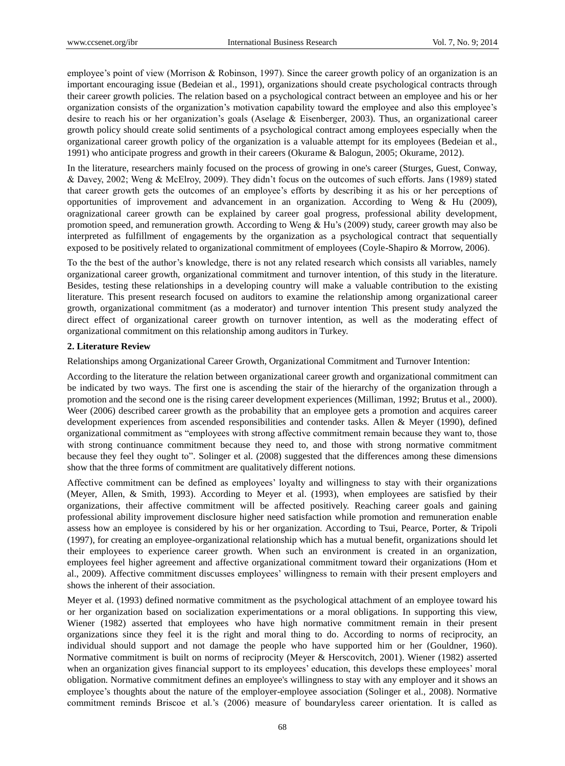employee's point of view (Morrison & Robinson, 1997). Since the career growth policy of an organization is an important encouraging issue (Bedeian et al., 1991), organizations should create psychological contracts through their career growth policies. The relation based on a psychological contract between an employee and his or her organization consists of the organization"s motivation capability toward the employee and also this employee"s desire to reach his or her organization's goals (Aselage & Eisenberger, 2003). Thus, an organizational career growth policy should create solid sentiments of a psychological contract among employees especially when the organizational career growth policy of the organization is a valuable attempt for its employees (Bedeian et al., 1991) who anticipate progress and growth in their careers (Okurame & Balogun, 2005; Okurame, 2012).

In the literature, researchers mainly focused on the process of growing in one's career (Sturges, Guest, Conway, & Davey, 2002; Weng & McElroy, 2009). They didn"t focus on the outcomes of such efforts. Jans (1989) stated that career growth gets the outcomes of an employee"s efforts by describing it as his or her perceptions of opportunities of improvement and advancement in an organization. According to Weng & Hu (2009), oragnizational career growth can be explained by career goal progress, professional ability development, promotion speed, and remuneration growth. According to Weng & Hu"s (2009) study, career growth may also be interpreted as fulfillment of engagements by the organization as a psychological contract that sequentially exposed to be positively related to organizational commitment of employees (Coyle-Shapiro & Morrow, 2006).

To the the best of the author"s knowledge, there is not any related research which consists all variables, namely organizational career growth, organizational commitment and turnover intention, of this study in the literature. Besides, testing these relationships in a developing country will make a valuable contribution to the existing literature. This present research focused on auditors to examine the relationship among organizational career growth, organizational commitment (as a moderator) and turnover intention This present study analyzed the direct effect of organizational career growth on turnover intention, as well as the moderating effect of organizational commitment on this relationship among auditors in Turkey.

## **2. Literature Review**

Relationships among Organizational Career Growth, Organizational Commitment and Turnover Intention:

According to the literature the relation between organizational career growth and organizational commitment can be indicated by two ways. The first one is ascending the stair of the hierarchy of the organization through a promotion and the second one is the rising career development experiences (Milliman, 1992; Brutus et al., 2000). Weer (2006) described career growth as the probability that an employee gets a promotion and acquires career development experiences from ascended responsibilities and contender tasks. Allen & Meyer (1990), defined organizational commitment as "employees with strong affective commitment remain because they want to, those with strong continuance commitment because they need to, and those with strong normative commitment because they feel they ought to". Solinger et al. (2008) suggested that the differences among these dimensions show that the three forms of commitment are qualitatively different notions.

Affective commitment can be defined as employees" loyalty and willingness to stay with their organizations (Meyer, Allen, & Smith, 1993). According to Meyer et al. (1993), when employees are satisfied by their organizations, their affective commitment will be affected positively. Reaching career goals and gaining professional ability improvement disclosure higher need satisfaction while promotion and remuneration enable assess how an employee is considered by his or her organization. According to Tsui, Pearce, Porter, & Tripoli (1997), for creating an employee-organizational relationship which has a mutual benefit, organizations should let their employees to experience career growth. When such an environment is created in an organization, employees feel higher agreement and affective organizational commitment toward their organizations (Hom et al., 2009). Affective commitment discusses employees" willingness to remain with their present employers and shows the inherent of their association.

Meyer et al. (1993) defined normative commitment as the psychological attachment of an employee toward his or her organization based on socialization experimentations or a moral obligations. In supporting this view, Wiener (1982) asserted that employees who have high normative commitment remain in their present organizations since they feel it is the right and moral thing to do. According to norms of reciprocity, an individual should support and not damage the people who have supported him or her (Gouldner, 1960). Normative commitment is built on norms of reciprocity (Meyer & Herscovitch, 2001). Wiener (1982) asserted when an organization gives financial support to its employees' education, this develops these employees' moral obligation. Normative commitment defines an employee's willingness to stay with any employer and it shows an employee's thoughts about the nature of the employer-employee association (Solinger et al., 2008). Normative commitment reminds Briscoe et al."s (2006) measure of boundaryless career orientation. It is called as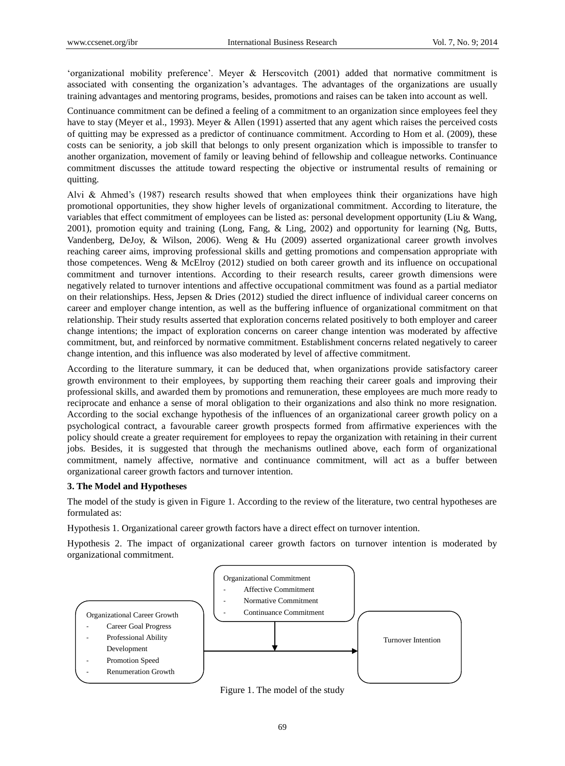'organizational mobility preference'. Meyer  $\&$  Herscovitch (2001) added that normative commitment is associated with consenting the organization"s advantages. The advantages of the organizations are usually training advantages and mentoring programs, besides, promotions and raises can be taken into account as well.

Continuance commitment can be defined a feeling of a commitment to an organization since employees feel they have to stay (Meyer et al., 1993). Meyer & Allen (1991) asserted that any agent which raises the perceived costs of quitting may be expressed as a predictor of continuance commitment. According to Hom et al. (2009), these costs can be seniority, a job skill that belongs to only present organization which is impossible to transfer to another organization, movement of family or leaving behind of fellowship and colleague networks. Continuance commitment discusses the attitude toward respecting the objective or instrumental results of remaining or quitting.

Alvi & Ahmed's (1987) research results showed that when employees think their organizations have high promotional opportunities, they show higher levels of organizational commitment. According to literature, the variables that effect commitment of employees can be listed as: personal development opportunity (Liu & Wang, 2001), promotion equity and training (Long, Fang, & Ling, 2002) and opportunity for learning (Ng, Butts, Vandenberg, DeJoy, & Wilson, 2006). Weng & Hu (2009) asserted organizational career growth involves reaching career aims, improving professional skills and getting promotions and compensation appropriate with those competences. Weng & McElroy (2012) studied on both career growth and its influence on occupational commitment and turnover intentions. According to their research results, career growth dimensions were negatively related to turnover intentions and affective occupational commitment was found as a partial mediator on their relationships. Hess, Jepsen & Dries (2012) studied the direct influence of individual career concerns on career and employer change intention, as well as the buffering influence of organizational commitment on that relationship. Their study results asserted that exploration concerns related positively to both employer and career change intentions; the impact of exploration concerns on career change intention was moderated by affective commitment, but, and reinforced by normative commitment. Establishment concerns related negatively to career change intention, and this influence was also moderated by level of affective commitment.

According to the literature summary, it can be deduced that, when organizations provide satisfactory career growth environment to their employees, by supporting them reaching their career goals and improving their professional skills, and awarded them by promotions and remuneration, these employees are much more ready to reciprocate and enhance a sense of moral obligation to their organizations and also think no more resignation. According to the social exchange hypothesis of the influences of an organizational career growth policy on a psychological contract, a favourable career growth prospects formed from affirmative experiences with the policy should create a greater requirement for employees to repay the organization with retaining in their current jobs. Besides, it is suggested that through the mechanisms outlined above, each form of organizational commitment, namely affective, normative and continuance commitment, will act as a buffer between organizational career growth factors and turnover intention.

## **3. The Model and Hypotheses**

The model of the study is given in Figure 1. According to the review of the literature, two central hypotheses are formulated as:

Hypothesis 1. Organizational career growth factors have a direct effect on turnover intention.

Hypothesis 2. The impact of organizational career growth factors on turnover intention is moderated by organizational commitment.



Figure 1. The model of the study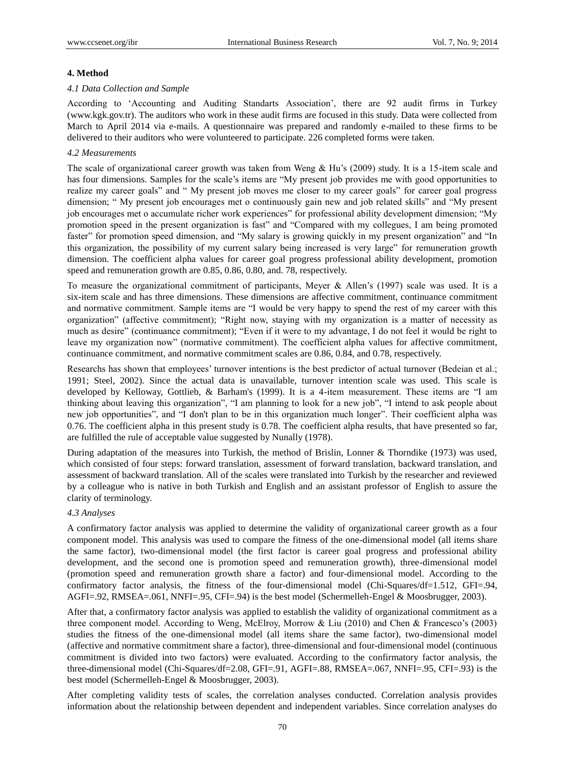## **4. Method**

#### *4.1 Data Collection and Sample*

According to "Accounting and Auditing Standarts Association", there are 92 audit firms in Turkey (www.kgk.gov.tr). The auditors who work in these audit firms are focused in this study. Data were collected from March to April 2014 via e-mails. A questionnaire was prepared and randomly e-mailed to these firms to be delivered to their auditors who were volunteered to participate. 226 completed forms were taken.

## *4.2 Measurements*

The scale of organizational career growth was taken from Weng & Hu"s (2009) study. It is a 15-item scale and has four dimensions. Samples for the scale's items are "My present job provides me with good opportunities to realize my career goals" and " My present job moves me closer to my career goals" for career goal progress dimension; " My present job encourages met o continuously gain new and job related skills" and "My present job encourages met o accumulate richer work experiences" for professional ability development dimension; "My promotion speed in the present organization is fast" and "Compared with my collegues, I am being promoted faster" for promotion speed dimension, and "My salary is growing quickly in my present organization" and "In this organization, the possibility of my current salary being increased is very large" for remuneration growth dimension. The coefficient alpha values for career goal progress professional ability development, promotion speed and remuneration growth are 0.85, 0.86, 0.80, and. 78, respectively.

To measure the organizational commitment of participants, Meyer & Allen's (1997) scale was used. It is a six-item scale and has three dimensions. These dimensions are affective commitment, continuance commitment and normative commitment. Sample items are "I would be very happy to spend the rest of my career with this organization" (affective commitment); "Right now, staying with my organization is a matter of necessity as much as desire" (continuance commitment); "Even if it were to my advantage, I do not feel it would be right to leave my organization now" (normative commitment). The coefficient alpha values for affective commitment, continuance commitment, and normative commitment scales are 0.86, 0.84, and 0.78, respectively.

Researchs has shown that employees" turnover intentions is the best predictor of actual turnover (Bedeian et al.; 1991; Steel, 2002). Since the actual data is unavailable, turnover intention scale was used. This scale is developed by Kelloway, Gottlieb, & Barham's (1999). It is a 4-item measurement. These items are "I am thinking about leaving this organization", "I am planning to look for a new job", "I intend to ask people about new job opportunities", and "I don't plan to be in this organization much longer". Their coefficient alpha was 0.76. The coefficient alpha in this present study is 0.78. The coefficient alpha results, that have presented so far, are fulfilled the rule of acceptable value suggested by Nunally (1978).

During adaptation of the measures into Turkish, the method of Brislin, Lonner & Thorndike (1973) was used, which consisted of four steps: forward translation, assessment of forward translation, backward translation, and assessment of backward translation. All of the scales were translated into Turkish by the researcher and reviewed by a colleague who is native in both Turkish and English and an assistant professor of English to assure the clarity of terminology.

## *4.3 Analyses*

A confirmatory factor analysis was applied to determine the validity of organizational career growth as a four component model. This analysis was used to compare the fitness of the one-dimensional model (all items share the same factor), two-dimensional model (the first factor is career goal progress and professional ability development, and the second one is promotion speed and remuneration growth), three-dimensional model (promotion speed and remuneration growth share a factor) and four-dimensional model. According to the confirmatory factor analysis, the fitness of the four-dimensional model (Chi-Squares/df=1.512, GFI=.94, AGFI=.92, RMSEA=.061, NNFI=.95, CFI=.94) is the best model (Schermelleh-Engel & Moosbrugger, 2003).

After that, a confirmatory factor analysis was applied to establish the validity of organizational commitment as a three component model. According to Weng, McElroy, Morrow & Liu (2010) and Chen & Francesco's (2003) studies the fitness of the one-dimensional model (all items share the same factor), two-dimensional model (affective and normative commitment share a factor), three-dimensional and four-dimensional model (continuous commitment is divided into two factors) were evaluated. According to the confirmatory factor analysis, the three-dimensional model (Chi-Squares/df=2.08, GFI=.91, AGFI=.88, RMSEA=.067, NNFI=.95, CFI=.93) is the best model (Schermelleh-Engel & Moosbrugger, 2003).

After completing validity tests of scales, the correlation analyses conducted. Correlation analysis provides information about the relationship between dependent and independent variables. Since correlation analyses do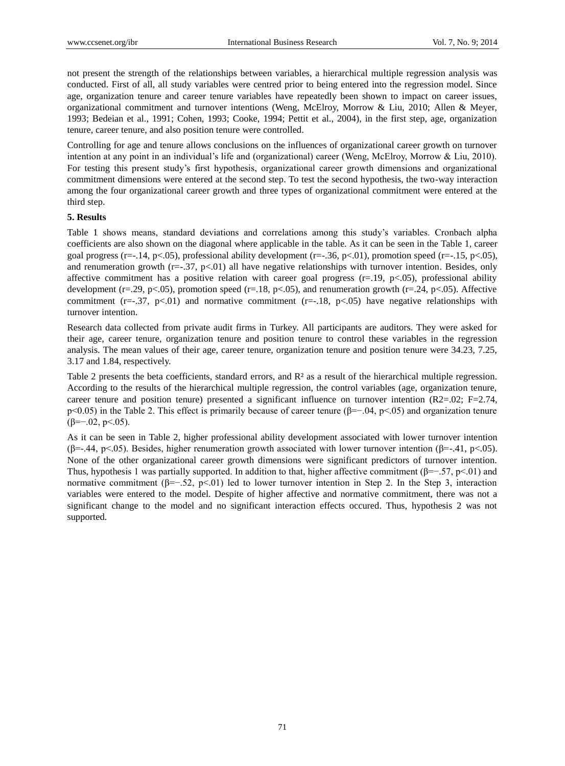not present the strength of the relationships between variables, a hierarchical multiple regression analysis was conducted. First of all, all study variables were centred prior to being entered into the regression model. Since age, organization tenure and career tenure variables have repeatedly been shown to impact on career issues, organizational commitment and turnover intentions (Weng, McElroy, Morrow & Liu, 2010; Allen & Meyer, 1993; Bedeian et al., 1991; Cohen, 1993; Cooke, 1994; Pettit et al., 2004), in the first step, age, organization tenure, career tenure, and also position tenure were controlled.

Controlling for age and tenure allows conclusions on the influences of organizational career growth on turnover intention at any point in an individual's life and (organizational) career (Weng, McElroy, Morrow & Liu, 2010). For testing this present study"s first hypothesis, organizational career growth dimensions and organizational commitment dimensions were entered at the second step. To test the second hypothesis, the two-way interaction among the four organizational career growth and three types of organizational commitment were entered at the third step.

## **5. Results**

Table 1 shows means, standard deviations and correlations among this study"s variables. Cronbach alpha coefficients are also shown on the diagonal where applicable in the table. As it can be seen in the Table 1, career goal progress (r=-.14, p<.05), professional ability development (r=-.36, p<.01), promotion speed (r=-.15, p<.05), and renumeration growth (r=-.37, p<.01) all have negative relationships with turnover intention. Besides, only affective commitment has a positive relation with career goal progress ( $r=19$ ,  $p<05$ ), professional ability development (r=.29, p<.05), promotion speed (r=.18, p<.05), and renumeration growth (r=.24, p<.05). Affective commitment ( $r=-.37$ ,  $p<-.01$ ) and normative commitment ( $r=-.18$ ,  $p<-.05$ ) have negative relationships with turnover intention.

Research data collected from private audit firms in Turkey. All participants are auditors. They were asked for their age, career tenure, organization tenure and position tenure to control these variables in the regression analysis. The mean values of their age, career tenure, organization tenure and position tenure were 34.23, 7.25, 3.17 and 1.84, respectively.

Table 2 presents the beta coefficients, standard errors, and R<sup>2</sup> as a result of the hierarchical multiple regression. According to the results of the hierarchical multiple regression, the control variables (age, organization tenure, career tenure and position tenure) presented a significant influence on turnover intention (R2=.02; F=2.74, p<0.05) in the Table 2. This effect is primarily because of career tenure (β=−.04, p<.05) and organization tenure  $(\beta=-.02, p<.05)$ .

As it can be seen in Table 2, higher professional ability development associated with lower turnover intention (β=-.44, p<.05). Besides, higher renumeration growth associated with lower turnover intention (β=-.41, p<.05). None of the other organizational career growth dimensions were significant predictors of turnover intention. Thus, hypothesis 1 was partially supported. In addition to that, higher affective commitment ( $\beta = -0.57$ , p<01) and normative commitment ( $\beta$ =−.52, p<.01) led to lower turnover intention in Step 2. In the Step 3, interaction variables were entered to the model. Despite of higher affective and normative commitment, there was not a significant change to the model and no significant interaction effects occured. Thus, hypothesis 2 was not supported.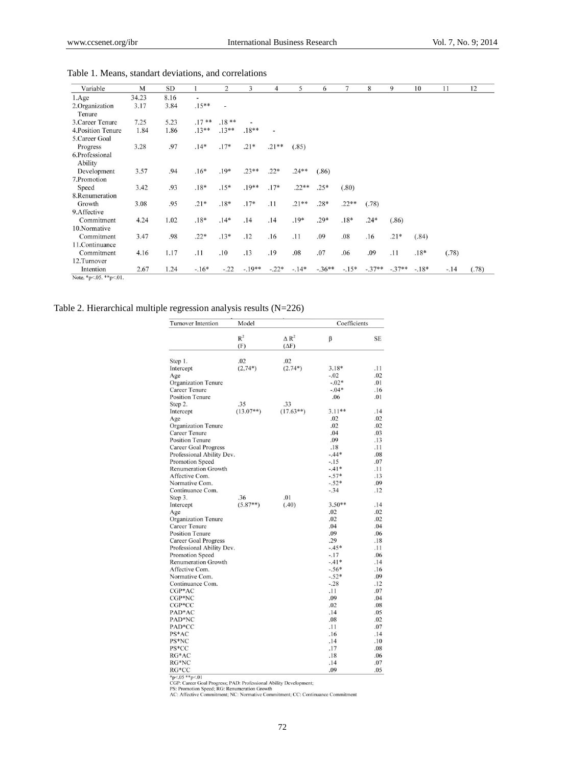| Variable               | M     | <b>SD</b> |         | $\overline{2}$           | 3        | $\overline{4}$ | 5       | 6        | 7       | 8        | 9        | 10      | 11     | 12    |
|------------------------|-------|-----------|---------|--------------------------|----------|----------------|---------|----------|---------|----------|----------|---------|--------|-------|
| $1. \text{Age}$        | 34.23 | 8.16      | a.      |                          |          |                |         |          |         |          |          |         |        |       |
| 2.Organization         | 3.17  | 3.84      | $.15**$ | $\overline{\phantom{a}}$ |          |                |         |          |         |          |          |         |        |       |
| Tenure                 |       |           |         |                          |          |                |         |          |         |          |          |         |        |       |
| 3. Career Tenure       | 7.25  | 5.23      | $.17**$ | $.18**$                  |          |                |         |          |         |          |          |         |        |       |
| 4. Position Tenure     | 1.84  | 1.86      | $.13**$ | $.13**$                  | $.18**$  | $\centerdot$   |         |          |         |          |          |         |        |       |
| 5.Career Goal          |       |           |         |                          |          |                |         |          |         |          |          |         |        |       |
| Progress               | 3.28  | .97       | $.14*$  | $.17*$                   | $.21*$   | $.21**$        | (.85)   |          |         |          |          |         |        |       |
| 6.Professional         |       |           |         |                          |          |                |         |          |         |          |          |         |        |       |
| Ability                |       |           |         |                          |          |                |         |          |         |          |          |         |        |       |
| Development            | 3.57  | .94       | $.16*$  | $.19*$                   | $.23**$  | $.22*$         | $.24**$ | (.86)    |         |          |          |         |        |       |
| 7.Promotion            |       |           |         |                          |          |                |         |          |         |          |          |         |        |       |
| Speed                  | 3.42  | .93       | $.18*$  | $.15*$                   | $.19**$  | $.17*$         | $.22**$ | $.25*$   | (.80)   |          |          |         |        |       |
| 8.Renumeration         |       |           |         |                          |          |                |         |          |         |          |          |         |        |       |
| Growth                 | 3.08  | .95       | $.21*$  | $.18*$                   | $.17*$   | .11            | $.21**$ | $.28*$   | $.22**$ | (.78)    |          |         |        |       |
| 9.Affective            |       |           |         |                          |          |                |         |          |         |          |          |         |        |       |
| Commitment             | 4.24  | 1.02      | $.18*$  | $.14*$                   | .14      | .14            | .19*    | .29*     | $.18*$  | $.24*$   | (.86)    |         |        |       |
| 10.Normative           |       |           |         |                          |          |                |         |          |         |          |          |         |        |       |
| Commitment             | 3.47  | .98       | $.22*$  | $.13*$                   | .12      | .16            | .11     | .09      | .08     | .16      | $.21*$   | (.84)   |        |       |
| 11.Continuance         |       |           |         |                          |          |                |         |          |         |          |          |         |        |       |
| Commitment             | 4.16  | 1.17      | .11     | .10                      | .13      | .19            | .08     | .07      | .06     | .09      | .11      | $.18*$  | (.78)  |       |
| 12.Turnover            |       |           |         |                          |          |                |         |          |         |          |          |         |        |       |
| Intention              | 2.67  | 1.24      | $-.16*$ | $-.22$                   | $-.19**$ | $-.22*$        | $-.14*$ | $-.36**$ | $-.15*$ | $-.37**$ | $-.37**$ | $-.18*$ | $-.14$ | (.78) |
| Note. *p<.05. **p<.01. |       |           |         |                          |          |                |         |          |         |          |          |         |        |       |

Table 1. Means, standart deviations, and correlations

Table 2. Hierarchical multiple regression analysis results (N=226)

| <b>Turnover Intention</b>   | Model       |                 | Coefficients |           |  |  |
|-----------------------------|-------------|-----------------|--------------|-----------|--|--|
|                             | $R^2$       | $\triangle R^2$ | $\beta$      | <b>SE</b> |  |  |
|                             | (F)         | $(\Delta F)$    |              |           |  |  |
|                             |             |                 |              |           |  |  |
| Step 1.                     | .02         | .02             |              |           |  |  |
| Intercept                   | $(2,74*)$   | $(2.74*)$       | $3.18*$      | .11       |  |  |
| Age                         |             |                 | $-.02$       | .02       |  |  |
| <b>Organization Tenure</b>  |             |                 | $-.02*$      | .01       |  |  |
| <b>Career Tenure</b>        |             |                 | $-.04*$      | .16       |  |  |
| <b>Position Tenure</b>      |             |                 | .06          | .01       |  |  |
| Step 2.                     | .35         | .33             |              |           |  |  |
| Intercept                   | $(13.07**)$ | $(17.63**)$     | $3.11**$     | .14       |  |  |
| Age                         |             |                 | .02          | .02       |  |  |
| Organization Tenure         |             |                 | .02          | .02       |  |  |
| <b>Career Tenure</b>        |             |                 | .04          | .03       |  |  |
| <b>Position Tenure</b>      |             |                 | .09          | .13       |  |  |
| <b>Career Goal Progress</b> |             |                 | .18          | .11       |  |  |
| Professional Ability Dev.   |             |                 | $-.44*$      | .08       |  |  |
| Promotion Speed             |             |                 | $-.15$       | .07       |  |  |
| <b>Renumeration Growth</b>  |             |                 | $-.41*$      | .11       |  |  |
| Affective Com.              |             |                 | $-.57*$      | .13       |  |  |
| Normative Com.              |             |                 | $-.52*$      | .09       |  |  |
| Continuance Com.            |             |                 | $-.34$       | .12       |  |  |
| Step 3.                     | .36         | .01             |              |           |  |  |
| Intercept                   | $(5.87**)$  | (.40)           | $3.50**$     | .14       |  |  |
| Age                         |             |                 | .02          | .02       |  |  |
| <b>Organization Tenure</b>  |             |                 | .02          | .02       |  |  |
| <b>Career Tenure</b>        |             |                 | .04          | .04       |  |  |
| <b>Position Tenure</b>      |             |                 | .09          | .06       |  |  |
| <b>Career Goal Progress</b> |             |                 | .29          | .18       |  |  |
| Professional Ability Dev.   |             |                 | $-.45*$      | .11       |  |  |
| Promotion Speed             |             |                 | $-.17$       | .06       |  |  |
| <b>Renumeration Growth</b>  |             |                 | $-.41*$      | .14       |  |  |
| Affective Com.              |             |                 | $-.56*$      | .16       |  |  |
| Normative Com.              |             |                 | $-.52*$      | .09       |  |  |
| Continuance Com.            |             |                 | $-.28$       | .12       |  |  |
| $CGP*AC$                    |             |                 | .11          | .07       |  |  |
| $CGP*NC$                    |             |                 | .09          | .04       |  |  |
| $CGP*CC$                    |             |                 | .02          | .08       |  |  |
| PAD*AC                      |             |                 | .14          | .05       |  |  |
| PAD*NC                      |             |                 | .08          | .02       |  |  |
| PAD*CC                      |             |                 | .11          | .07       |  |  |
| $PS*AC$                     |             |                 | .16          | .14       |  |  |
| PS*NC                       |             |                 | .14          | .10       |  |  |
| PS*CC                       |             |                 | .17          | .08       |  |  |
| $RG*AC$                     |             |                 | .18          | .06       |  |  |
| $RG*NC$                     |             |                 | .14          | .07       |  |  |
| $RG*CC$                     |             |                 | .09          | .05       |  |  |

 $\frac{1}{2}$ <br>  $\frac{1}{2}$ <br>  $\frac{1}{2}$  CGP: Career Goal Progress; PAD: Professional Ability Development;<br>
PS: Promotion Speed; RG: Renumeration Growth<br>
AC: Affective Commitment; NC: Normative Commitment; CC: Continuance Commitme

72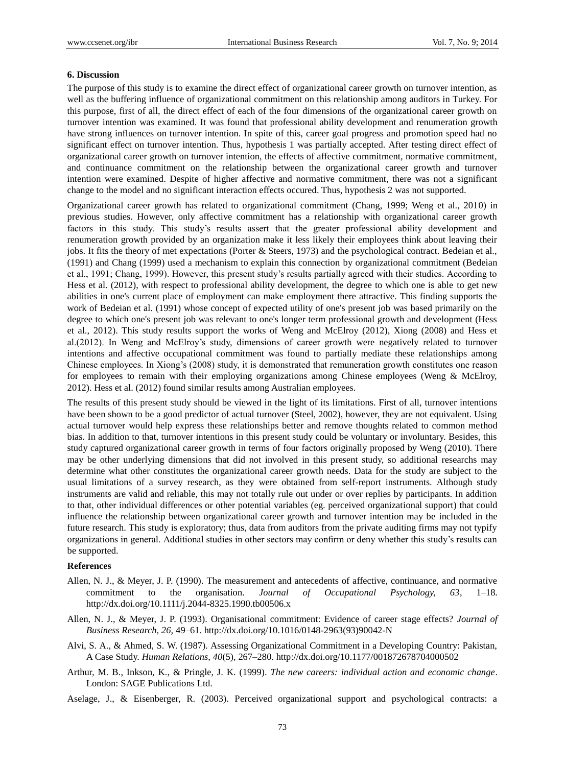#### **6. Discussion**

The purpose of this study is to examine the direct effect of organizational career growth on turnover intention, as well as the buffering influence of organizational commitment on this relationship among auditors in Turkey. For this purpose, first of all, the direct effect of each of the four dimensions of the organizational career growth on turnover intention was examined. It was found that professional ability development and renumeration growth have strong influences on turnover intention. In spite of this, career goal progress and promotion speed had no significant effect on turnover intention. Thus, hypothesis 1 was partially accepted. After testing direct effect of organizational career growth on turnover intention, the effects of affective commitment, normative commitment, and continuance commitment on the relationship between the organizational career growth and turnover intention were examined. Despite of higher affective and normative commitment, there was not a significant change to the model and no significant interaction effects occured. Thus, hypothesis 2 was not supported.

Organizational career growth has related to organizational commitment (Chang, 1999; Weng et al., 2010) in previous studies. However, only affective commitment has a relationship with organizational career growth factors in this study. This study"s results assert that the greater professional ability development and renumeration growth provided by an organization make it less likely their employees think about leaving their jobs. It fits the theory of met expectations (Porter & Steers, 1973) and the psychological contract. Bedeian et al., (1991) and Chang (1999) used a mechanism to explain this connection by organizational commitment (Bedeian et al., 1991; Chang, 1999). However, this present study"s results partially agreed with their studies. According to Hess et al. (2012), with respect to professional ability development, the degree to which one is able to get new abilities in one's current place of employment can make employment there attractive. This finding supports the work of Bedeian et al. (1991) whose concept of expected utility of one's present job was based primarily on the degree to which one's present job was relevant to one's longer term professional growth and development (Hess et al., 2012). This study results support the works of Weng and McElroy (2012), Xiong (2008) and Hess et al.(2012). In Weng and McElroy"s study, dimensions of career growth were negatively related to turnover intentions and affective occupational commitment was found to partially mediate these relationships among Chinese employees. In Xiong"s (2008) study, it is demonstrated that remuneration growth constitutes one reason for employees to remain with their employing organizations among Chinese employees (Weng & McElroy, 2012). Hess et al. (2012) found similar results among Australian employees.

The results of this present study should be viewed in the light of its limitations. First of all, turnover intentions have been shown to be a good predictor of actual turnover (Steel, 2002), however, they are not equivalent. Using actual turnover would help express these relationships better and remove thoughts related to common method bias. In addition to that, turnover intentions in this present study could be voluntary or involuntary. Besides, this study captured organizational career growth in terms of four factors originally proposed by Weng (2010). There may be other underlying dimensions that did not involved in this present study, so additional researchs may determine what other constitutes the organizational career growth needs. Data for the study are subject to the usual limitations of a survey research, as they were obtained from self-report instruments. Although study instruments are valid and reliable, this may not totally rule out under or over replies by participants. In addition to that, other individual differences or other potential variables (eg. perceived organizational support) that could influence the relationship between organizational career growth and turnover intention may be included in the future research. This study is exploratory; thus, data from auditors from the private auditing firms may not typify organizations in general. Additional studies in other sectors may confirm or deny whether this study"s results can be supported.

#### **References**

- Allen, N. J., & Meyer, J. P. (1990). The measurement and antecedents of affective, continuance, and normative commitment to the organisation. *Journal of Occupational Psychology, 63*, 1–18. http://dx.doi.org/10.1111/j.2044-8325.1990.tb00506.x
- Allen, N. J., & Meyer, J. P. (1993). Organisational commitment: Evidence of career stage effects? *Journal of Business Research, 26,* 49–61. http://dx.doi.org/10.1016/0148-2963(93)90042-N
- Alvi, S. A., & Ahmed, S. W. (1987). Assessing Organizational Commitment in a Developing Country: Pakistan, A Case Study. *Human Relations, 40*(5), 267–280. http://dx.doi.org/10.1177/001872678704000502
- Arthur, M. B., Inkson, K., & Pringle, J. K. (1999). *The new careers: individual action and economic change*. London: SAGE Publications Ltd.

Aselage, J., & Eisenberger, R. (2003). Perceived organizational support and psychological contracts: a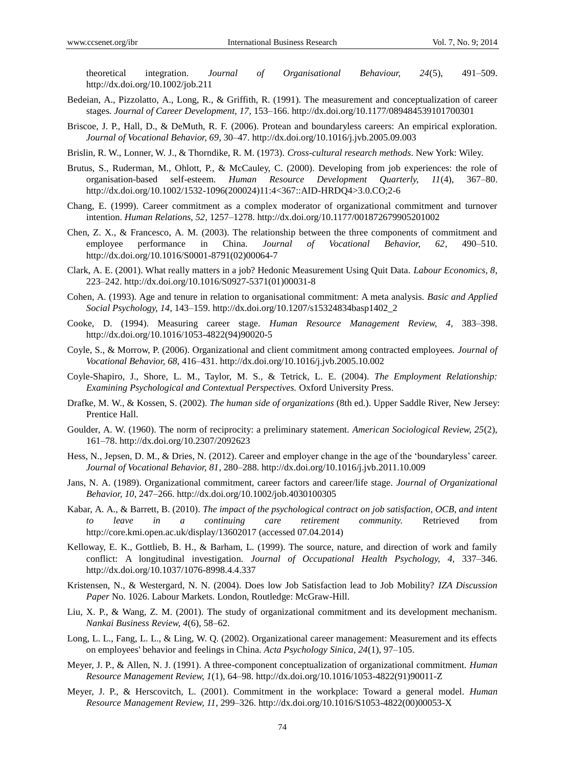theoretical integration. *Journal of Organisational Behaviour, 24*(5), 491–509. http://dx.doi.org/10.1002/job.211

- Bedeian, A., Pizzolatto, A., Long, R., & Griffith, R. (1991). The measurement and conceptualization of career stages. *Journal of Career Development, 17*, 153–166. http://dx.doi.org/10.1177/089484539101700301
- Briscoe, J. P., Hall, D., & DeMuth, R. F. (2006). Protean and boundaryless careers: An empirical exploration. *Journal of Vocational Behavior, 69*, 30–47. http://dx.doi.org/10.1016/j.jvb.2005.09.003
- Brislin, R. W., Lonner, W. J., & Thorndike, R. M. (1973). *Cross-cultural research methods*. New York: Wiley.
- Brutus, S., Ruderman, M., Ohlott, P., & McCauley, C. (2000). Developing from job experiences: the role of organisation-based self-esteem. *Human Resource Development Quarterly, 11*(4), 367–80. http://dx.doi.org/10.1002/1532-1096(200024)11:4<367::AID-HRDQ4>3.0.CO;2-6
- Chang, E. (1999). Career commitment as a complex moderator of organizational commitment and turnover intention. *Human Relations, 52*, 1257–1278. http://dx.doi.org/10.1177/001872679905201002
- Chen, Z. X., & Francesco, A. M. (2003). The relationship between the three components of commitment and employee performance in China. *Journal of Vocational Behavior, 62*, 490–510. http://dx.doi.org/10.1016/S0001-8791(02)00064-7
- Clark, A. E. (2001). What really matters in a job? Hedonic Measurement Using Quit Data. *Labour Economics, 8*, 223–242. http://dx.doi.org/10.1016/S0927-5371(01)00031-8
- Cohen, A. (1993). Age and tenure in relation to organisational commitment: A meta analysis. *Basic and Applied Social Psychology, 14*, 143–159. http://dx.doi.org/10.1207/s15324834basp1402\_2
- Cooke, D. (1994). Measuring career stage. *Human Resource Management Review, 4*, 383–398. http://dx.doi.org/10.1016/1053-4822(94)90020-5
- Coyle, S., & Morrow, P. (2006). Organizational and client commitment among contracted employees. *Journal of Vocational Behavior, 68*, 416–431. http://dx.doi.org/10.1016/j.jvb.2005.10.002
- Coyle-Shapiro, J., Shore, L. M., Taylor, M. S., & Tetrick, L. E. (2004). *The Employment Relationship: Examining Psychological and Contextual Perspectives.* Oxford University Press.
- Drafke, M. W., & Kossen, S. (2002). *The human side of organizations* (8th ed.). Upper Saddle River, New Jersey: Prentice Hall.
- Goulder, A. W. (1960). The norm of reciprocity: a preliminary statement. *American Sociological Review, 25*(2), 161–78. http://dx.doi.org/10.2307/2092623
- Hess, N., Jepsen, D. M., & Dries, N. (2012). Career and employer change in the age of the "boundaryless" career. *Journal of Vocational Behavior, 81*, 280–288. http://dx.doi.org/10.1016/j.jvb.2011.10.009
- Jans, N. A. (1989). Organizational commitment, career factors and career/life stage. *Journal of Organizational Behavior, 10*, 247–266. http://dx.doi.org/10.1002/job.4030100305
- Kabar, A. A., & Barrett, B. (2010). *The impact of the psychological contract on job satisfaction, OCB, and intent to leave in a continuing care retirement community.* Retrieved from http://core.kmi.open.ac.uk/display/13602017 (accessed 07.04.2014)
- Kelloway, E. K., Gottlieb, B. H., & Barham, L. (1999). The source, nature, and direction of work and family conflict: A longitudinal investigation. *Journal of Occupational Health Psychology, 4*, 337–346. http://dx.doi.org/10.1037/1076-8998.4.4.337
- Kristensen, N., & Westergard, N. N. (2004). Does low Job Satisfaction lead to Job Mobility? *IZA Discussion Paper* No. 1026. Labour Markets. London, Routledge: McGraw-Hill.
- Liu, X. P., & Wang, Z. M. (2001). The study of organizational commitment and its development mechanism. *Nankai Business Review, 4*(6), 58–62.
- Long, L. L., Fang, L. L., & Ling, W. Q. (2002). Organizational career management: Measurement and its effects on employees' behavior and feelings in China. *Acta Psychology Sinica, 24*(1), 97–105.
- Meyer, J. P., & Allen, N. J. (1991). A three-component conceptualization of organizational commitment. *Human Resource Management Review, 1*(1), 64–98. http://dx.doi.org/10.1016/1053-4822(91)90011-Z
- Meyer, J. P., & Herscovitch, L. (2001). Commitment in the workplace: Toward a general model. *Human Resource Management Review, 11*, 299–326. http://dx.doi.org/10.1016/S1053-4822(00)00053-X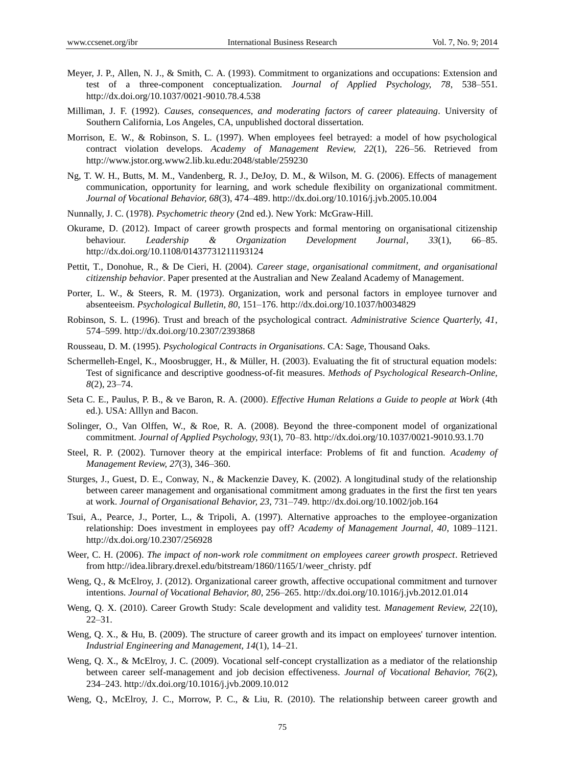- Meyer, J. P., Allen, N. J., & Smith, C. A. (1993). Commitment to organizations and occupations: Extension and test of a three-component conceptualization. *Journal of Applied Psychology, 78*, 538–551. http://dx.doi.org/10.1037/0021-9010.78.4.538
- Milliman, J. F. (1992). *Causes, consequences, and moderating factors of career plateauing*. University of Southern California, Los Angeles, CA, unpublished doctoral dissertation.
- Morrison, E. W., & Robinson, S. L. (1997). When employees feel betrayed: a model of how psychological contract violation develops. *Academy of Management Review, 22*(1), 226–56. Retrieved from http://www.jstor.org.www2.lib.ku.edu:2048/stable/259230
- Ng, T. W. H., Butts, M. M., Vandenberg, R. J., DeJoy, D. M., & Wilson, M. G. (2006). Effects of management communication, opportunity for learning, and work schedule flexibility on organizational commitment. *Journal of Vocational Behavior, 68*(3), 474–489. http://dx.doi.org/10.1016/j.jvb.2005.10.004
- Nunnally, J. C. (1978). *Psychometric theory* (2nd ed.). New York: McGraw-Hill.
- Okurame, D. (2012). Impact of career growth prospects and formal mentoring on organisational citizenship behaviour. *Leadership & Organization Development Journal, 33*(1), 66–85. http://dx.doi.org/10.1108/01437731211193124
- Pettit, T., Donohue, R., & De Cieri, H. (2004). *Career stage, organisational commitment, and organisational citizenship behavior*. Paper presented at the Australian and New Zealand Academy of Management.
- Porter, L. W., & Steers, R. M. (1973). Organization, work and personal factors in employee turnover and absenteeism. *Psychological Bulletin, 80*, 151–176. http://dx.doi.org/10.1037/h0034829
- Robinson, S. L. (1996). Trust and breach of the psychological contract. *Administrative Science Quarterly, 41*, 574–599. http://dx.doi.org/10.2307/2393868
- Rousseau, D. M. (1995). *Psychological Contracts in Organisations*. CA: Sage, Thousand Oaks.
- Schermelleh-Engel, K., Moosbrugger, H., & Müller, H. (2003). Evaluating the fit of structural equation models: Test of significance and descriptive goodness-of-fit measures. *Methods of Psychological Research-Online, 8*(2), 23–74.
- Seta C. E., Paulus, P. B., & ve Baron, R. A. (2000). *Effective Human Relations a Guide to people at Work* (4th ed.). USA: Alllyn and Bacon.
- Solinger, O., Van Olffen, W., & Roe, R. A. (2008). Beyond the three-component model of organizational commitment. *Journal of Applied Psychology, 93*(1), 70–83. http://dx.doi.org/10.1037/0021-9010.93.1.70
- Steel, R. P. (2002). Turnover theory at the empirical interface: Problems of fit and function. *Academy of Management Review, 27*(3), 346–360.
- Sturges, J., Guest, D. E., Conway, N., & Mackenzie Davey, K. (2002). A longitudinal study of the relationship between career management and organisational commitment among graduates in the first the first ten years at work. *Journal of Organisational Behavior, 23*, 731–749. http://dx.doi.org/10.1002/job.164
- Tsui, A., Pearce, J., Porter, L., & Tripoli, A. (1997). Alternative approaches to the employee-organization relationship: Does investment in employees pay off? *Academy of Management Journal, 40*, 1089–1121. http://dx.doi.org/10.2307/256928
- Weer, C. H. (2006). *The impact of non-work role commitment on employees career growth prospect*. Retrieved from http://idea.library.drexel.edu/bitstream/1860/1165/1/weer\_christy. pdf
- Weng, Q., & McElroy, J. (2012). Organizational career growth, affective occupational commitment and turnover intentions. *Journal of Vocational Behavior, 80*, 256–265. http://dx.doi.org/10.1016/j.jvb.2012.01.014
- Weng, Q. X. (2010). Career Growth Study: Scale development and validity test. *Management Review, 22*(10), 22–31.
- Weng, Q. X., & Hu, B. (2009). The structure of career growth and its impact on employees' turnover intention. *Industrial Engineering and Management, 14*(1), 14–21.
- Weng, Q. X., & McElroy, J. C. (2009). Vocational self-concept crystallization as a mediator of the relationship between career self-management and job decision effectiveness. *Journal of Vocational Behavior, 76*(2), 234–243. http://dx.doi.org/10.1016/j.jvb.2009.10.012
- Weng, Q., McElroy, J. C., Morrow, P. C., & Liu, R. (2010). The relationship between career growth and